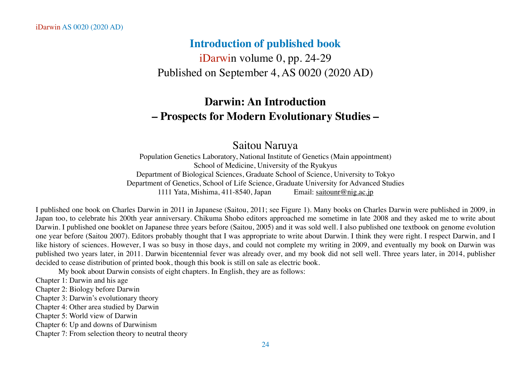# **Introduction of published book**

iDarwin volume 0, pp. 24-29 Published on September 4, AS 0020 (2020 AD)

# **Darwin: An Introduction – Prospects for Modern Evolutionary Studies –**

# Saitou Naruya

Population Genetics Laboratory, National Institute of Genetics (Main appointment) School of Medicine, University of the Ryukyus Department of Biological Sciences, Graduate School of Science, University to Tokyo Department of Genetics, School of Life Science, Graduate University for Advanced Studies 1111 Yata, Mishima, 411-8540, Japan Email: [saitounr@nig.ac.jp](mailto:saitounr@nig.ac.jp)

I published one book on Charles Darwin in 2011 in Japanese (Saitou, 2011; see Figure 1). Many books on Charles Darwin were published in 2009, in Japan too, to celebrate his 200th year anniversary. Chikuma Shobo editors approached me sometime in late 2008 and they asked me to write about Darwin. I published one booklet on Japanese three years before (Saitou, 2005) and it was sold well. I also published one textbook on genome evolution one year before (Saitou 2007). Editors probably thought that I was appropriate to write about Darwin. I think they were right. I respect Darwin, and I like history of sciences. However, I was so busy in those days, and could not complete my writing in 2009, and eventually my book on Darwin was published two years later, in 2011. Darwin bicentennial fever was already over, and my book did not sell well. Three years later, in 2014, publisher decided to cease distribution of printed book, though this book is still on sale as electric book.

My book about Darwin consists of eight chapters. In English, they are as follows:

Chapter 1: Darwin and his age

Chapter 2: Biology before Darwin

Chapter 3: Darwin's evolutionary theory

Chapter 4: Other area studied by Darwin

Chapter 5: World view of Darwin

Chapter 6: Up and downs of Darwinism

Chapter 7: From selection theory to neutral theory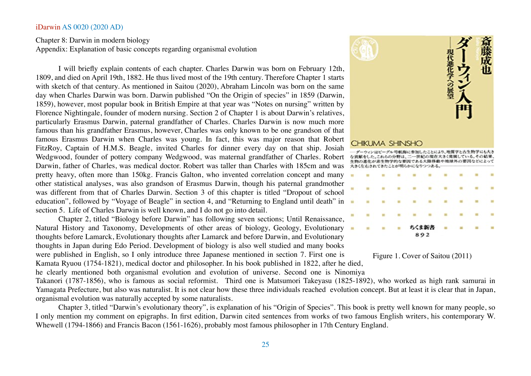# Chapter 8: Darwin in modern biology Appendix: Explanation of basic concepts regarding organismal evolution

I will briefly explain contents of each chapter. Charles Darwin was born on February 12th, 1809, and died on April 19th, 1882. He thus lived most of the 19th century. Therefore Chapter 1 starts with sketch of that century. As mentioned in Saitou (2020), Abraham Lincoln was born on the same day when Charles Darwin was born. Darwin published "On the Origin of species" in 1859 (Darwin, 1859), however, most popular book in British Empire at that year was "Notes on nursing" written by Florence Nightingale, founder of modern nursing. Section 2 of Chapter 1 is about Darwin's relatives, particularly Erasmus Darwin, paternal grandfather of Charles. Charles Darwin is now much more famous than his grandfather Erasmus, however, Charles was only known to be one grandson of that famous Erasmus Darwin when Charles was young. In fact, this was major reason that Robert FitzRoy, Captain of H.M.S. Beagle, invited Charles for dinner every day on that ship. Josiah Wedgwood, founder of pottery company Wedgwood, was maternal grandfather of Charles. Robert Darwin, father of Charles, was medical doctor. Robert was taller than Charles with 185cm and was pretty heavy, often more than 150kg. Francis Galton, who invented correlation concept and many other statistical analyses, was also grandson of Erasmus Darwin, though his paternal grandmother was different from that of Charles Darwin. Section 3 of this chapter is titled "Dropout of school education", followed by "Voyage of Beagle" in section 4, and "Returning to England until death" in section 5. Life of Charles Darwin is well known, and I do not go into detail.

Chapter 2, titled "Biology before Darwin" has following seven sections; Until Renaissance, Natural History and Taxonomy, Developments of other areas of biology, Geology, Evolutionary thoughts before Lamarck, Evolutionary thoughts after Lamarck and before Darwin, and Evolutionary thoughts in Japan during Edo Period. Development of biology is also well studied and many books were published in English, so I only introduce three Japanese mentioned in section 7. First one is Kamata Ryuou (1754-1821), medical doctor and philosopher. In his book published in 1822, after he died,

he clearly mentioned both organismal evolution and evolution of universe. Second one is Ninomiya

Takanori (1787-1856), who is famous as social reformist. Third one is Matsumori Takeyasu (1825-1892), who worked as high rank samurai in Yamagata Prefecture, but also was naturalist. It is not clear how these three individuals reached evolution concept. But at least it is clear that in Japan, organismal evolution was naturally accepted by some naturalists.

Chapter 3, titled "Darwin's evolutionary theory", is explanation of his "Origin of Species". This book is pretty well known for many people, so I only mention my comment on epigraphs. In first edition, Darwin cited sentences from works of two famous English writers, his contemporary W. Whewell (1794-1866) and Francis Bacon (1561-1626), probably most famous philosopher in 17th Century England.





892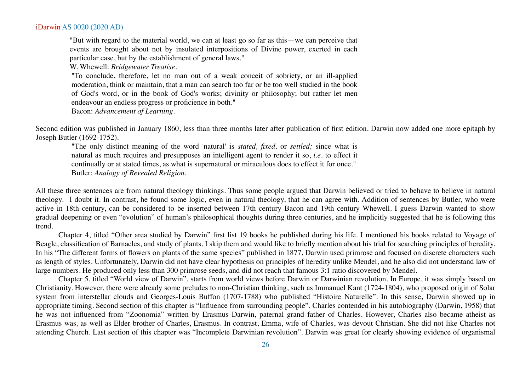"But with regard to the material world, we can at least go so far as this—we can perceive that events are brought about not by insulated interpositions of Divine power, exerted in each particular case, but by the establishment of general laws."

W. Whewell: *Bridgewater Treatise*.

"To conclude, therefore, let no man out of a weak conceit of sobriety, or an ill-applied moderation, think or maintain, that a man can search too far or be too well studied in the book of God's word, or in the book of God's works; divinity or philosophy; but rather let men endeavour an endless progress or proficience in both."

Bacon: *Advancement of Learning*.

Second edition was published in January 1860, less than three months later after publication of first edition. Darwin now added one more epitaph by Joseph Butler (1692-1752).

"The only distinct meaning of the word 'natural' is *stated, fixed,* or *settled;* since what is natural as much requires and presupposes an intelligent agent to render it so, *i.e.* to effect it continually or at stated times, as what is supernatural or miraculous does to effect it for once." Butler: *Analogy of Revealed Religion*.

All these three sentences are from natural theology thinkings. Thus some people argued that Darwin believed or tried to behave to believe in natural theology. I doubt it. In contrast, he found some logic, even in natural theology, that he can agree with. Addition of sentences by Butler, who were active in 18th century, can be considered to be inserted between 17th century Bacon and 19th century Whewell. I guess Darwin wanted to show gradual deepening or even "evolution" of human's philosophical thoughts during three centuries, and he implicitly suggested that he is following this trend.

Chapter 4, titled "Other area studied by Darwin" first list 19 books he published during his life. I mentioned his books related to Voyage of Beagle, classification of Barnacles, and study of plants. I skip them and would like to briefly mention about his trial for searching principles of heredity. In his "The different forms of flowers on plants of the same species" published in 1877, Darwin used primrose and focused on discrete characters such as length of styles. Unfortunately, Darwin did not have clear hypothesis on principles of heredity unlike Mendel, and he also did not understand law of large numbers. He produced only less than 300 primrose seeds, and did not reach that famous 3:1 ratio discovered by Mendel.

Chapter 5, titled "World view of Darwin", starts from world views before Darwin or Darwinian revolution. In Europe, it was simply based on Christianity. However, there were already some preludes to non-Christian thinking, such as Immanuel Kant (1724-1804), who proposed origin of Solar system from interstellar clouds and Georges-Louis Buffon (1707-1788) who published "Histoire Naturelle". In this sense, Darwin showed up in appropriate timing. Second section of this chapter is "Influence from surrounding people". Charles contended in his autobiography (Darwin, 1958) that he was not influenced from "Zoonomia" written by Erasmus Darwin, paternal grand father of Charles. However, Charles also became atheist as Erasmus was, as well as Elder brother of Charles, Erasmus. In contrast, Emma, wife of Charles, was devout Christian. She did not like Charles not attending Church. Last section of this chapter was "Incomplete Darwinian revolution". Darwin was great for clearly showing evidence of organismal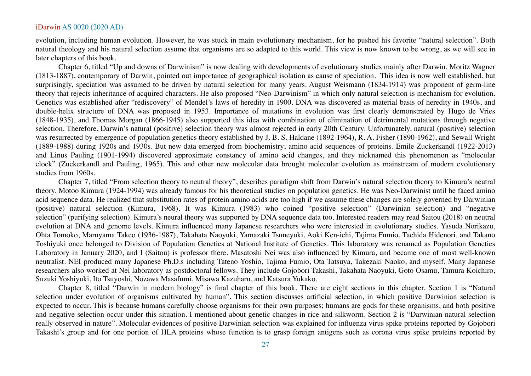evolution, including human evolution. However, he was stuck in main evolutionary mechanism, for he pushed his favorite "natural selection". Both natural theology and his natural selection assume that organisms are so adapted to this world. This view is now known to be wrong, as we will see in later chapters of this book.

Chapter 6, titled "Up and downs of Darwinism" is now dealing with developments of evolutionary studies mainly after Darwin. Moritz Wagner (1813-1887), contemporary of Darwin, pointed out importance of geographical isolation as cause of speciation. This idea is now well established, but surprisingly, speciation was assumed to be driven by natural selection for many years. August Weismann (1834-1914) was proponent of germ-line theory that rejects inheritance of acquired characters. He also proposed "Neo-Darwinism" in which only natural selection is mechanism for evolution. Genetics was established after "rediscovery" of Mendel's laws of heredity in 1900. DNA was discovered as material basis of heredity in 1940s, and double-helix structure of DNA was proposed in 1953. Importance of mutations in evolution was first clearly demonstrated by Hugo de Vries (1848-1935), and Thomas Morgan (1866-1945) also supported this idea with combination of elimination of detrimental mutations through negative selection. Therefore, Darwin's natural (positive) selection theory was almost rejected in early 20th Century. Unfortunately, natural (positive) selection was resurrected by emergence of population genetics theory established by J. B. S. Haldane (1892-1964), R. A. Fisher (1890-1962), and Sewall Wright (1889-1988) during 1920s and 1930s. But new data emerged from biochemistry; amino acid sequences of proteins. Emile Zuckerkandl (1922-2013) and Linus Pauling (1901-1994) discovered approximate constancy of amino acid changes, and they nicknamed this phenomenon as "molecular clock" (Zuckerkandl and Pauling, 1965). This and other new molecular data brought molecular evolution as mainstream of modern evolutionary studies from 1960s.

Chapter 7, titled "From selection theory to neutral theory", describes paradigm shift from Darwin's natural selection theory to Kimura's neutral theory. Motoo Kimura (1924-1994) was already famous for his theoretical studies on population genetics. He was Neo-Darwinist until he faced amino acid sequence data. He realized that substitution rates of protein amino acids are too high if we assume these changes are solely governed by Darwinian (positive) natural selection (Kimura, 1968). It was Kimura (1983) who coined "positive selection" (Darwinian selection) and "negative selection" (purifying selection). Kimura's neural theory was supported by DNA sequence data too. Interested readers may read Saitou (2018) on neutral evolution at DNA and genome levels. Kimura influenced many Japanese researchers who were interested in evolutionary studies. Yasuda Norikazu, Ohta Tomoko, Maruyama Takeo (1936-1987), Takahata Naoyuki, Yamazaki Tsuneyuki, Aoki Ken-ichi, Tajima Fumio, Tachida Hidenori, and Takano Toshiyuki once belonged to Division of Population Genetics at National Institute of Genetics. This laboratory was renamed as Population Genetics Laboratory in January 2020, and I (Saitou) is professor there. Masatoshi Nei was also influenced by Kimura, and became one of most well-known neutralist. NEI produced many Japanese Ph.D.s including Tateno Yoshio, Tajima Fumio, Ota Tatsuya, Takezaki Naoko, and myself. Many Japanese researchers also worked at Nei laboratory as postdoctoral fellows. They include Gojobori Takashi, Takahata Naoyuki, Goto Osamu, Tamura Koichiro, Suzuki Yoshiyuki, Ito Tsuyoshi, Nozawa Masafumi, Misawa Kazuharu, and Katsura Yukako.

Chapter 8, titled "Darwin in modern biology" is final chapter of this book. There are eight sections in this chapter. Section 1 is "Natural selection under evolution of organisms cultivated by human". This section discusses artificial selection, in which positive Darwinian selection is expected to occur. This is because humans carefully choose organisms for their own purposes; humans are gods for these organisms, and both positive and negative selection occur under this situation. I mentioned about genetic changes in rice and silkworm. Section 2 is "Darwinian natural selection really observed in nature". Molecular evidences of positive Darwinian selection was explained for influenza virus spike proteins reported by Gojobori Takashi's group and for one portion of HLA proteins whose function is to grasp foreign antigens such as corona virus spike proteins reported by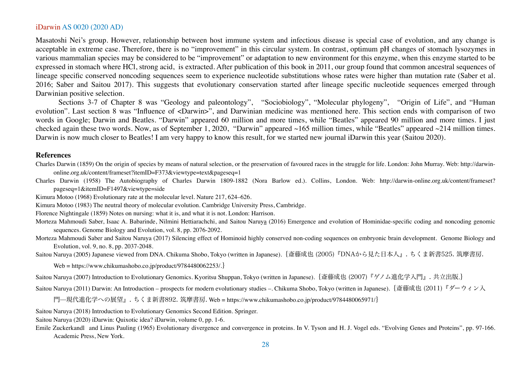Masatoshi Nei's group. However, relationship between host immune system and infectious disease is special case of evolution, and any change is acceptable in extreme case. Therefore, there is no "improvement" in this circular system. In contrast, optimum pH changes of stomach lysozymes in various mammalian species may be considered to be "improvement" or adaptation to new environment for this enzyme, when this enzyme started to be expressed in stomach where HCl, strong acid, is extracted. After publication of this book in 2011, our group found that common ancestral sequences of lineage specific conserved noncoding sequences seem to experience nucleotide substitutions whose rates were higher than mutation rate (Saber et al. 2016; Saber and Saitou 2017). This suggests that evolutionary conservation started after lineage specific nucleotide sequences emerged through Darwinian positive selection.

Sections 3-7 of Chapter 8 was "Geology and paleontology", "Sociobiology", "Molecular phylogeny", "Origin of Life", and "Human evolution". Last section 8 was "Influence of <Darwin>", and Darwinian medicine was mentioned here. This section ends with comparison of two words in Google; Darwin and Beatles. "Darwin" appeared 60 million and more times, while "Beatles" appeared 90 million and more times. I just checked again these two words. Now, as of September 1, 2020, "Darwin" appeared ~165 million times, while "Beatles" appeared ~214 million times. Darwin is now much closer to Beatles! I am very happy to know this result, for we started new journal iDarwin this year (Saitou 2020).

## **References**

- Charles Darwin (1859) On the origin of species by means of natural selection, or the preservation of favoured races in the struggle for life. London: John Murray. Web: http://darwinonline.org.uk/content/frameset?itemID=F373&viewtype=text&pageseq=1
- Charles Darwin (1958) The Autobiography of Charles Darwin 1809-1882 (Nora Barlow ed.). Collins, London. Web: http://darwin-online.org.uk/content/frameset? pageseq=1&itemID=F1497&viewtype=side
- Kimura Motoo (1968) Evolutionary rate at the molecular level. Nature 217, 624–626.
- Kimura Motoo (1983) The neutral theory of molecular evolution. Cambridge University Press, Cambridge.
- Florence Nightingale (1859) Notes on nursing: what it is, and what it is not. London: Harrison.
- Morteza Mahmoudi Saber, Isaac A. Babarinde, Nilmini Hettiarachchi, and Saitou Naruya (2016) Emergence and evolution of Hominidae-specific coding and noncoding genomic sequences. Genome Biology and Evolution, vol. 8, pp. 2076-2092.
- Morteza Mahmoudi Saber and Saitou Naruya (2017) Silencing effect of Hominoid highly conserved non-coding sequences on embryonic brain development. Genome Biology and Evolution, vol. 9, no. 8, pp. 2037-2048.

Saitou Naruya (2005) Japanese viewed from DNA. Chikuma Shobo, Tokyo (written in Japanese).{斎藤成也 (2005)『DNAから見た日本人』. ちくま新書525. 筑摩書房.

Web = https://www.chikumashobo.co.jp/product/9784480062253/.}

Saitou Naruya (2007) Introduction to Evolutionary Genomics. Kyoritsu Shuppan, Tokyo (written in Japanese).{斎藤成也 (2007)『ゲノム進化学入門』. 共立出版.}

Saitou Naruya (2011) Darwin: An Introduction – prospects for modern evolutionary studies –. Chikuma Shobo, Tokyo (written in Japanese). {斎藤成也 (2011)『ダーウィン入

門‒‒現代進化学への展望』. ちくま新書892. 筑摩書房. Web = https://www.chikumashobo.co.jp/product/9784480065971/}

Saitou Naruya (2018) Introduction to Evolutionary Genomics Second Edition. Springer.

Saitou Naruya (2020) iDarwin: Quixotic idea? iDarwin, volume 0, pp. 1-6.

Emile Zuckerkandl and Linus Pauling (1965) Evolutionary divergence and convergence in proteins. In V. Tyson and H. J. Vogel eds. "Evolving Genes and Proteins", pp. 97-166. Academic Press, New York.